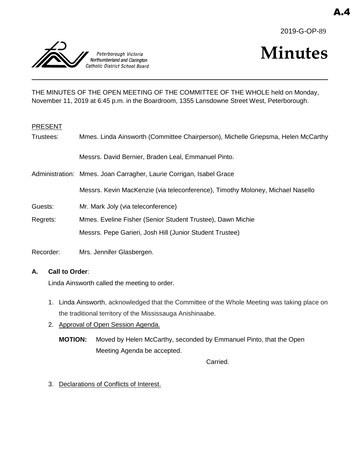



# **Minutes**

THE MINUTES OF THE OPEN MEETING OF THE COMMITTEE OF THE WHOLE held on Monday, November 11, 2019 at 6:45 p.m. in the Boardroom, 1355 Lansdowne Street West, Peterborough.

## PRESENT

| Trustees: | Mmes. Linda Ainsworth (Committee Chairperson), Michelle Griepsma, Helen McCarthy |
|-----------|----------------------------------------------------------------------------------|
|           | Messrs. David Bernier, Braden Leal, Emmanuel Pinto.                              |
|           | Administration: Mmes. Joan Carragher, Laurie Corrigan, Isabel Grace              |
|           | Messrs. Kevin MacKenzie (via teleconference), Timothy Moloney, Michael Nasello   |
| Guests:   | Mr. Mark Joly (via teleconference)                                               |
| Regrets:  | Mmes. Eveline Fisher (Senior Student Trustee), Dawn Michie                       |
|           | Messrs. Pepe Garieri, Josh Hill (Junior Student Trustee)                         |
| Recorder: | Mrs. Jennifer Glasbergen.                                                        |

## **A. Call to Order**:

Linda Ainsworth called the meeting to order.

- 1. Linda Ainsworth, acknowledged that the Committee of the Whole Meeting was taking place on the traditional territory of the Mississauga Anishinaabe.
- 2. Approval of Open Session Agenda.
	- **MOTION:** Moved by Helen McCarthy, seconded by Emmanuel Pinto, that the Open Meeting Agenda be accepted.

Carried.

3. Declarations of Conflicts of Interest.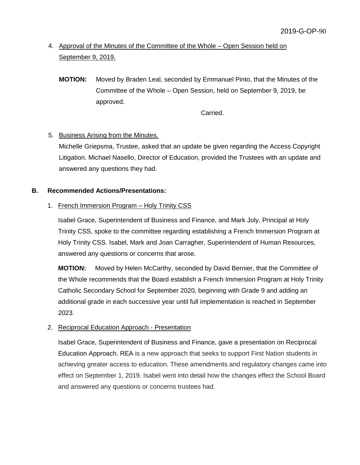# 4. Approval of the Minutes of the Committee of the Whole – Open Session held on September 9, 2019.

**MOTION:** Moved by Braden Leal, seconded by Emmanuel Pinto, that the Minutes of the Committee of the Whole – Open Session, held on September 9, 2019, be approved.

Carried.

# 5. Business Arising from the Minutes.

Michelle Griepsma, Trustee, asked that an update be given regarding the Access Copyright Litigation. Michael Nasello, Director of Education, provided the Trustees with an update and answered any questions they had.

# **B. Recommended Actions/Presentations:**

# 1. French Immersion Program – Holy Trinity CSS

Isabel Grace, Superintendent of Business and Finance, and Mark Joly, Principal at Holy Trinity CSS, spoke to the committee regarding establishing a French Immersion Program at Holy Trinity CSS. Isabel, Mark and Joan Carragher, Superintendent of Human Resources, answered any questions or concerns that arose.

**MOTION:** Moved by Helen McCarthy, seconded by David Bernier, that the Committee of the Whole recommends that the Board establish a French Immersion Program at Holy Trinity Catholic Secondary School for September 2020, beginning with Grade 9 and adding an additional grade in each successive year until full implementation is reached in September 2023.

# 2. Reciprocal Education Approach - Presentation

Isabel Grace, Superintendent of Business and Finance, gave a presentation on Reciprocal Education Approach. REA is a new approach that seeks to support First Nation students in achieving greater access to education. These amendments and regulatory changes came into effect on September 1, 2019. Isabel went into detail how the changes effect the School Board and answered any questions or concerns trustees had.